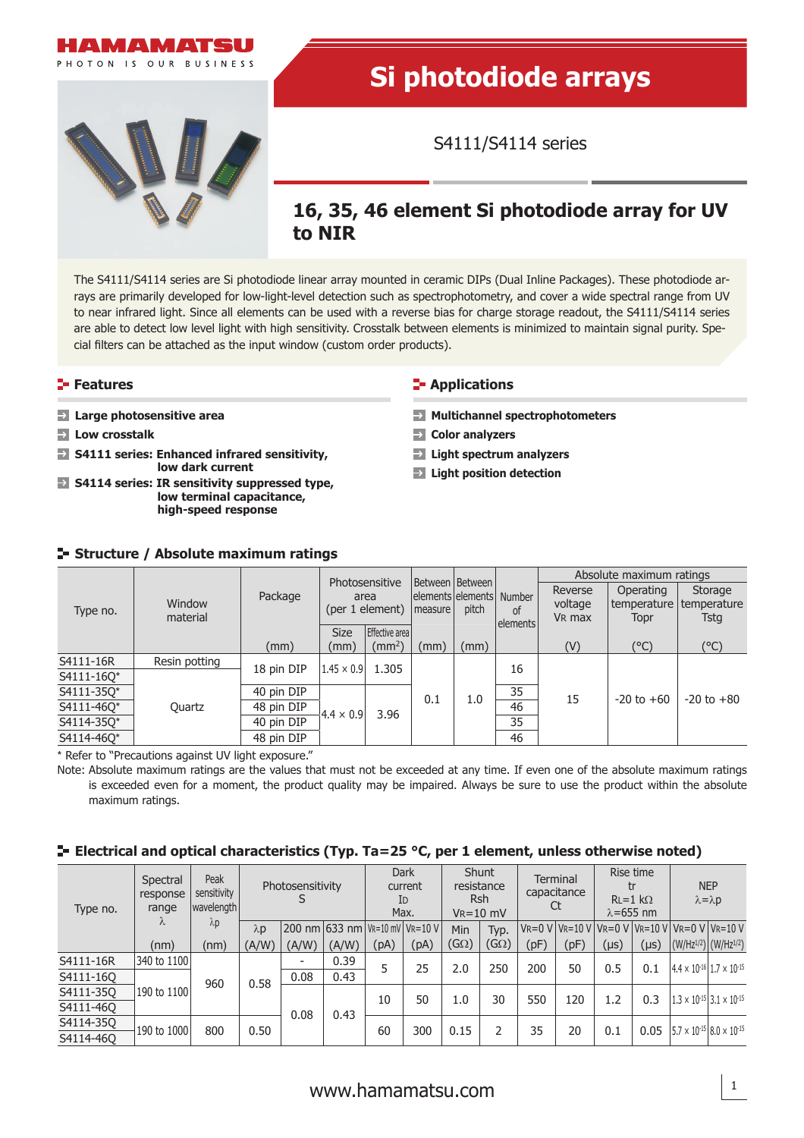

# **Si photodiode arrays**

S4111/S4114 series

# **16, 35, 46 element Si photodiode array for UV to NIR**

The S4111/S4114 series are Si photodiode linear array mounted in ceramic DIPs (Dual Inline Packages). These photodiode arrays are primarily developed for low-light-level detection such as spectrophotometry, and cover a wide spectral range from UV to near infrared light. Since all elements can be used with a reverse bias for charge storage readout, the S4111/S4114 series are able to detect low level light with high sensitivity. Crosstalk between elements is minimized to maintain signal purity. Special filters can be attached as the input window (custom order products).

# **Features**

- **Large photosensitive area**
- **Low crosstalk**
- **S4111 series: Enhanced infrared sensitivity, low dark current**
- **S4114 series: IR sensitivity suppressed type, low terminal capacitance, high-speed response**

# **E-** Applications

- **Multichannel spectrophotometers**
- **Color analyzers**
- **Light spectrum analyzers**
- **Light position detection**

# **Structure / Absolute maximum ratings**

|            | Window<br>material |            | Photosensitive<br>area<br>(per 1 element) |                    | Between   Between  <br>elements elements   Number<br>measure | pitch | <sub>of</sub><br>lelements | Absolute maximum ratings |                                        |                |  |
|------------|--------------------|------------|-------------------------------------------|--------------------|--------------------------------------------------------------|-------|----------------------------|--------------------------|----------------------------------------|----------------|--|
| Type no.   |                    | Package    |                                           |                    |                                                              |       |                            | Reverse<br>voltage       | Operating<br>temperature   temperature | Storage        |  |
|            |                    |            |                                           |                    |                                                              |       |                            | V <sub>R</sub> max       | Topr                                   | <b>Tstg</b>    |  |
|            |                    |            | <b>Size</b>                               | Effective area     |                                                              |       |                            |                          |                                        |                |  |
|            |                    | (mm)       | (mm)                                      | (mm <sup>2</sup> ) | (mm)                                                         | (mm)  |                            | (V)                      | (°C)                                   | (°C)           |  |
| S4111-16R  | Resin potting      | 18 pin DIP | $1.45 \times 0.9$                         | 1.305              |                                                              |       | 16                         |                          |                                        |                |  |
| S4111-160* |                    |            |                                           |                    | 0.1                                                          | 1.0   |                            | 15                       | $-20$ to $+60$                         | $-20$ to $+80$ |  |
| S4111-350* |                    | 40 pin DIP |                                           | 3.96               |                                                              |       | 35                         |                          |                                        |                |  |
| S4111-460* | Quartz             | 48 pin DIP | $ 4.4 \times 0.9 $                        |                    |                                                              |       | 46                         |                          |                                        |                |  |
| S4114-350* |                    | 40 pin DIP |                                           |                    |                                                              |       | 35                         |                          |                                        |                |  |
| S4114-460* |                    | 48 pin DIP |                                           |                    |                                                              |       | 46                         |                          |                                        |                |  |

\* Refer to "Precautions against UV light exposure."

Note: Absolute maximum ratings are the values that must not be exceeded at any time. If even one of the absolute maximum ratings is exceeded even for a moment, the product quality may be impaired. Always be sure to use the product within the absolute maximum ratings.

## **E** Electrical and optical characteristics (Typ. Ta=25 °C, per 1 element, unless otherwise noted)

| Type no.  | Spectral<br>response<br>range<br>Λ | Peak<br>sensitivity<br> wavelength <br>$\lambda p$ | Photosensitivity       |                          | <b>Dark</b><br>current<br>ID<br>Max. |      | <b>Shunt</b><br>resistance<br><b>Rsh</b><br>$V_R = 10$ mV |                           | <b>Terminal</b><br>capacitance<br>Ct |      | Rise time<br>$RL = 1 k\Omega$<br>$\lambda = 655$ nm |           | <b>NEP</b><br>$\lambda = \lambda p$                            |                                                      |  |
|-----------|------------------------------------|----------------------------------------------------|------------------------|--------------------------|--------------------------------------|------|-----------------------------------------------------------|---------------------------|--------------------------------------|------|-----------------------------------------------------|-----------|----------------------------------------------------------------|------------------------------------------------------|--|
|           |                                    |                                                    | $\lambda$ <sub>D</sub> |                          | 200 nm 633 nm VR=10 mV VR=10 V       |      |                                                           | Min                       | Typ.                                 |      |                                                     |           | $V = 0$ V $V = 10$ V $V = 0$ V $V = 10$ V $V = 0$ V $V = 10$ V |                                                      |  |
|           | (nm)                               | (nm)                                               | (A/W)                  | (A/W)                    | (A/W)                                | (pA) | (pA)                                                      | $\left(  G\Omega \right)$ | $(G\Omega)$                          | (pF) | (pF)                                                | $(\mu s)$ | $(\mu s)$                                                      | $ (W/HZ^{1/2}) (W/HZ^{1/2}) $                        |  |
| S4111-16R | 340 to 1100                        | 960                                                |                        | $\overline{\phantom{0}}$ | 0.39                                 | 5    | 25                                                        | 2.0                       | 250                                  | 200  | 50                                                  | 0.5       | 0.1                                                            | $4.4 \times 10^{-16}$ 1.7 $\times$ 10 <sup>-15</sup> |  |
| S4111-160 |                                    |                                                    | 0.58                   | 0.08                     | 0.43                                 |      |                                                           |                           |                                      |      |                                                     |           |                                                                |                                                      |  |
| S4111-350 | 190 to 1100                        |                                                    |                        |                          | 0.08<br>0.43                         | 10   | 50                                                        | 1.0                       | 30                                   | 550  | 120                                                 | 1.2       | 0.3                                                            | $1.3 \times 10^{-15}$ 3.1 $\times 10^{-15}$          |  |
| S4111-460 |                                    |                                                    |                        |                          |                                      |      |                                                           |                           |                                      |      |                                                     |           |                                                                |                                                      |  |
| S4114-350 | 190 to 1000                        | 800                                                | 0.50                   |                          |                                      | 60   | 300                                                       | 0.15                      | 2                                    | 35   | 20                                                  | 0.1       | 0.05                                                           | $5.7 \times 10^{-15}$ 8.0 $\times 10^{-15}$          |  |
| S4114-460 |                                    |                                                    |                        |                          |                                      |      |                                                           |                           |                                      |      |                                                     |           |                                                                |                                                      |  |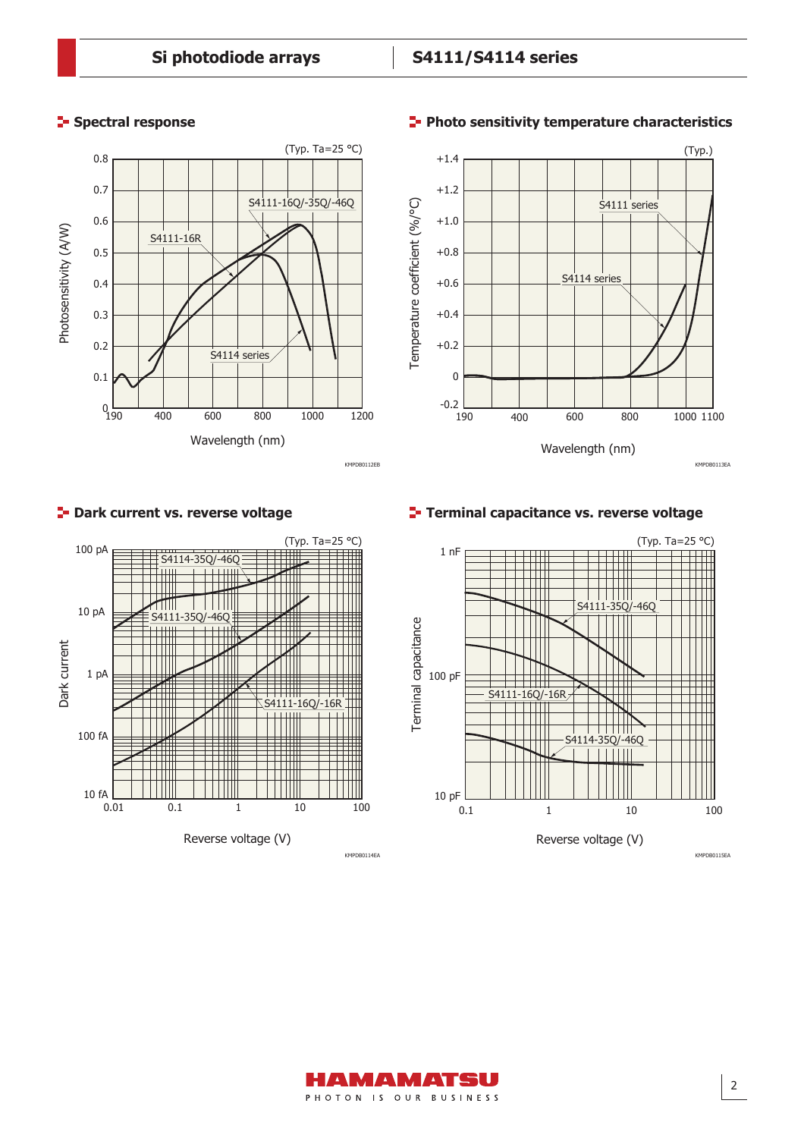# **Spectral response**





# **Photo sensitivity temperature characteristics**





# **P**- Dark current vs. reverse voltage

**Terminal capacitance vs. reverse voltage**



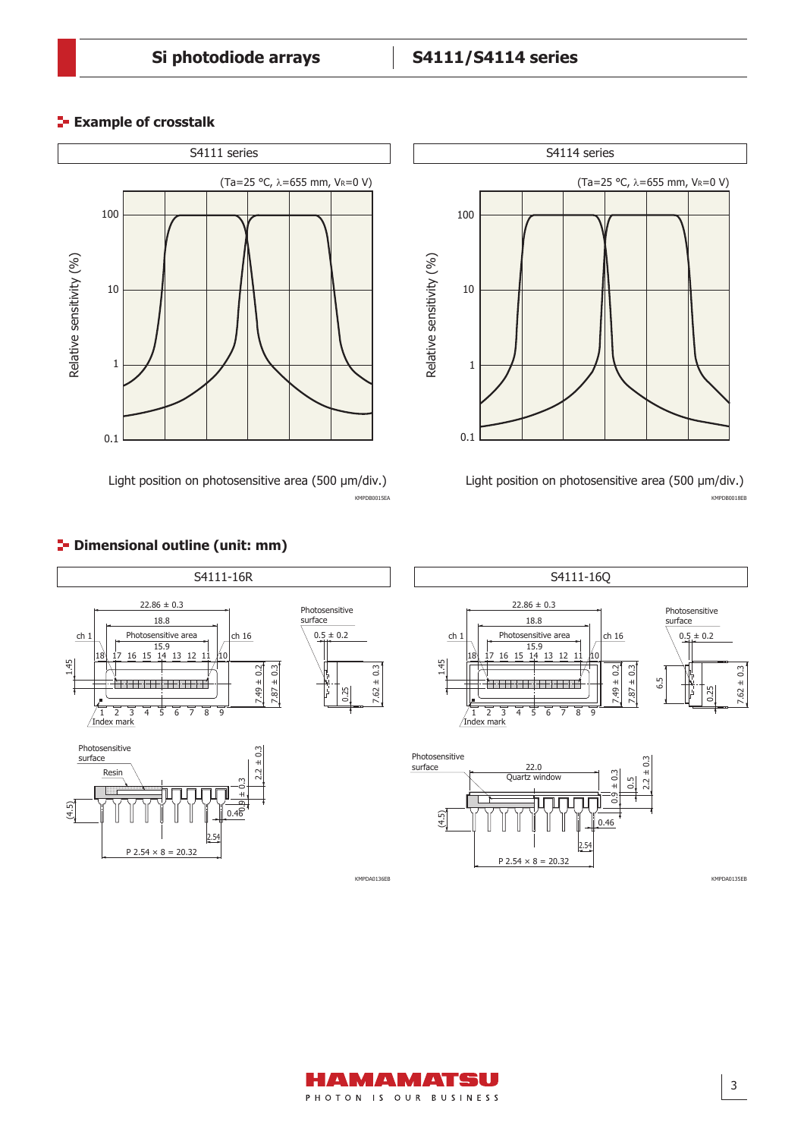100

10

Relative sensitivity (%)

Relative sensitivity (%)

1

S4114 series

(Ta=25 °C, λ=655 mm, VR=0 V)

# **Example of crosstalk**



Light position on photosensitive area (500 µm/div.)



KMPDA0136EB KMPDA0135EB

# **P** Dimensional outline (unit: mm)

1.45

(4.5)

surface Resin

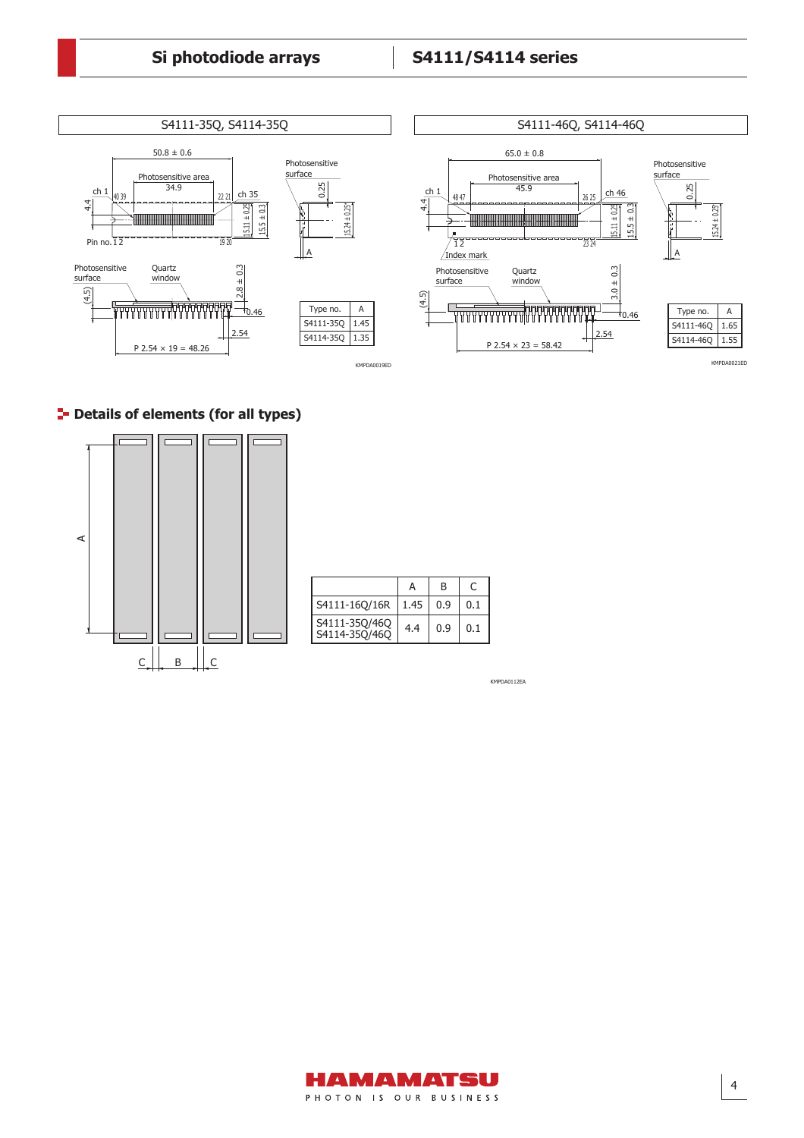

# **P** Details of elements (for all types)



|                                | А    | в   |     |
|--------------------------------|------|-----|-----|
| S4111-160/16R                  | 1.45 | 0.9 | 0.1 |
| S4111-35Q/46Q<br>S4114-35Q/46Q | 4.4  | 0.9 | 0.1 |

KMPDA0112EA

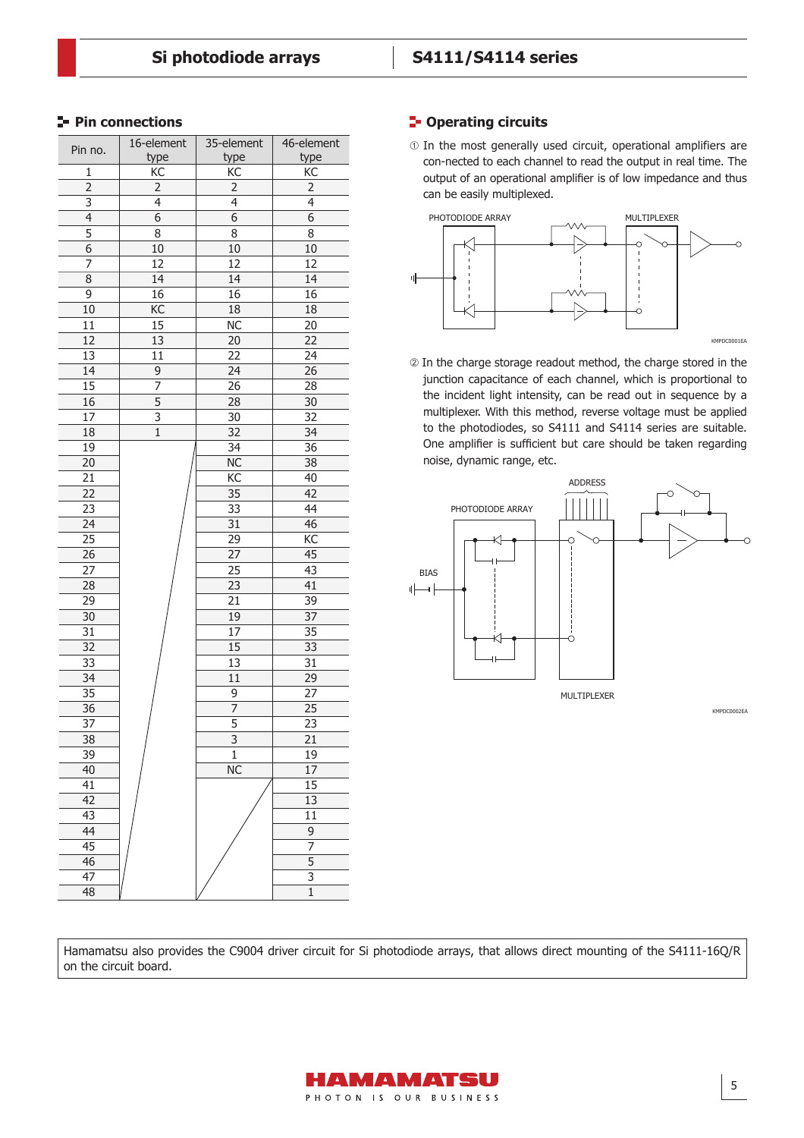| Pin no.         | 16-element                | 35-element                | 46-element      |
|-----------------|---------------------------|---------------------------|-----------------|
|                 | type                      | type                      | type            |
| $\mathbf 1$     | КC                        | KC                        | КC              |
| $\overline{2}$  | $\overline{2}$            | $\overline{2}$            | $\overline{2}$  |
| 3               | 4                         | 4                         | 4               |
| 4               | 6                         | 6                         | 6               |
| 5               | 8                         | 8                         | 8               |
| $\overline{6}$  | 10                        | 10                        | $10\,$          |
| 7               | 12                        | $\overline{12}$           | 12              |
| $\overline{8}$  | $\overline{14}$           | 14                        | 14              |
| 9               | 16                        | 16                        | 16              |
| 10              | KC                        | 18                        | 18              |
| 11              | 15                        | $\overline{\text{NC}}$    | 20              |
| 12              | 13                        | 20                        | 22              |
| 13              | 11                        | 22                        | 24              |
| 14              | 9                         | 24                        | 26              |
| 15              | 7                         | 26                        | 28              |
| 16              | $\overline{5}$            | $\overline{28}$           | 30              |
| $\overline{17}$ | $\overline{\overline{3}}$ | $\overline{30}$           | 32              |
| 18              | $\overline{1}$            | $\overline{32}$           | 34              |
| 19              |                           | $\overline{34}$           | $\overline{36}$ |
| $\overline{20}$ |                           | $\overline{\text{NC}}$    | $\overline{38}$ |
| 21              |                           | КC                        | 40              |
| 22              |                           | 35                        | 42              |
| 23              |                           | 33                        | 44              |
| $\overline{24}$ |                           | $\overline{31}$           | 46              |
| $\overline{25}$ |                           | 29                        | $\overline{KC}$ |
| $\overline{26}$ |                           | $\overline{27}$           | 45              |
| 27              |                           | 25                        | 43              |
| 28              |                           | $\overline{23}$           | 41              |
| 29              |                           | 21                        | 39              |
| 30              |                           | 19                        | 37              |
| 31              |                           | 17                        | 35              |
| 32              |                           | 15                        | 33              |
| 33              |                           | 13                        | 31              |
| 34              |                           | 11                        | 29              |
| 35              |                           | 9                         | 27              |
| $\overline{36}$ |                           | $\overline{7}$            | $\overline{25}$ |
| 37              |                           | $\overline{5}$            | 23              |
| $\overline{38}$ |                           | $\overline{\overline{3}}$ | $\overline{21}$ |
| 39              |                           | $\overline{1}$            | 19              |
| 40              |                           | <b>NC</b>                 | 17              |
| 41              |                           |                           | 15              |
| 42              |                           |                           | 13              |
| 43              |                           |                           | 11              |
| 44              |                           |                           | 9               |
| $\overline{45}$ |                           |                           | 7               |
| $\overline{46}$ |                           |                           | $\overline{5}$  |
| $\overline{47}$ |                           |                           | $\overline{3}$  |
| 48              |                           |                           | $\overline{1}$  |

# **Pin connections Pin connections Pin connections Pine 2**

 $<sub>0</sub>$  In the most generally used circuit, operational amplifiers are</sub> con-nected to each channel to read the output in real time. The output of an operational amplifier is of low impedance and thus can be easily multiplexed.



 In the charge storage readout method, the charge stored in the junction capacitance of each channel, which is proportional to the incident light intensity, can be read out in sequence by a multiplexer. With this method, reverse voltage must be applied to the photodiodes, so S4111 and S4114 series are suitable. One amplifier is sufficient but care should be taken regarding noise, dynamic range, etc.



KMPDC0002EA

Hamamatsu also provides the C9004 driver circuit for Si photodiode arrays, that allows direct mounting of the S4111-16Q/R on the circuit board.